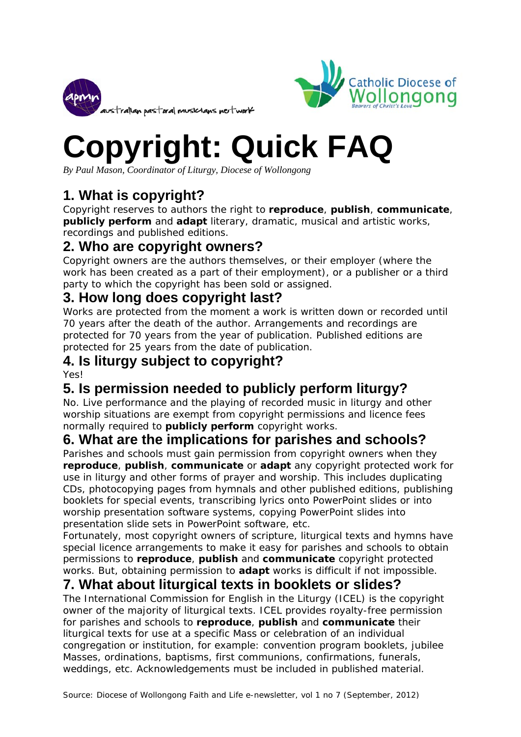



# **Copyright: Quick FAQ**

*By Paul Mason, Coordinator of Liturgy, Diocese of Wollongong* 

# **1. What is copyright?**

Copyright reserves to authors the right to **reproduce**, **publish**, **communicate**, **publicly perform** and **adapt** literary, dramatic, musical and artistic works, recordings and published editions.

#### **2. Who are copyright owners?**

Copyright owners are the authors themselves, or their employer (where the work has been created as a part of their employment), or a publisher or a third party to which the copyright has been sold or assigned.

#### **3. How long does copyright last?**

Works are protected from the moment a work is written down or recorded until 70 years after the death of the author. Arrangements and recordings are protected for 70 years from the year of publication. Published editions are protected for 25 years from the date of publication.

# **4. Is liturgy subject to copyright?**

Yes!

# **5. Is permission needed to publicly perform liturgy?**

No. Live performance and the playing of recorded music *in liturgy and other worship situations* are exempt from copyright permissions and licence fees normally required to **publicly perform** copyright works.

## **6. What are the implications for parishes and schools?**

Parishes and schools must gain permission from copyright owners when they **reproduce**, **publish**, **communicate** or **adapt** any copyright protected work for use in liturgy and other forms of prayer and worship. This includes duplicating CDs, photocopying pages from hymnals and other published editions, publishing booklets for special events, transcribing lyrics onto PowerPoint slides or into worship presentation software systems, copying PowerPoint slides into presentation slide sets in PowerPoint software, etc.

Fortunately, most copyright owners of scripture, liturgical texts and hymns have special licence arrangements to make it easy for parishes and schools to obtain permissions to **reproduce**, **publish** and **communicate** copyright protected works. But, obtaining permission to **adapt** works is difficult if not impossible.

#### **7. What about liturgical texts in booklets or slides?**

The International Commission for English in the Liturgy (ICEL) is the copyright owner of the majority of liturgical texts. ICEL provides royalty-free permission for parishes and schools to **reproduce**, **publish** and **communicate** their liturgical texts for use at a specific Mass or celebration of an individual congregation or institution, for example: convention program booklets, jubilee Masses, ordinations, baptisms, first communions, confirmations, funerals, weddings, etc. Acknowledgements must be included in published material.